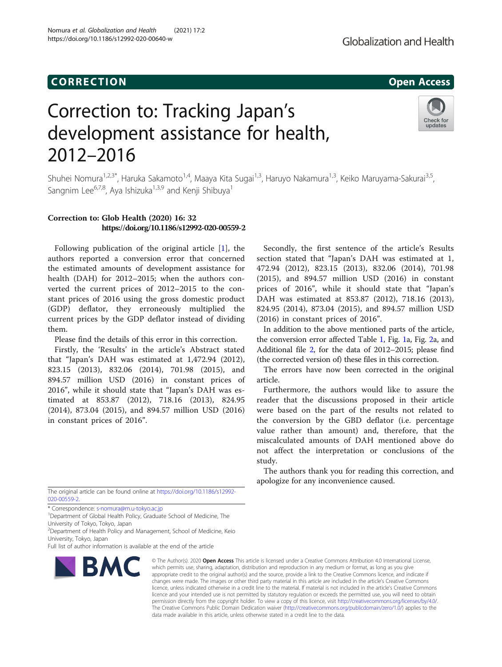### CORR EC TION Open Access

Nomura et al. Globalization and Health (2021) 17:2

https://doi.org/10.1186/s12992-020-00640-w

## Globalization and Health

# Correction to: Tracking Japan's development assistance for health, 2012–2016



Shuhei Nomura<sup>1,2,3\*</sup>, Haruka Sakamoto<sup>1,4</sup>, Maaya Kita Sugai<sup>1,3</sup>, Haruyo Nakamura<sup>1,3</sup>, Keiko Maruyama-Sakurai<sup>3,5</sup>, Sangnim Lee<sup>6,7,8</sup>, Aya Ishizuka<sup>1,3,9</sup> and Kenji Shibuya<sup>1</sup>

#### Correction to: Glob Health (2020) 16: 32 https://doi.org/10.1186/s12992-020-00559-2

Following publication of the original article [\[1](#page-3-0)], the authors reported a conversion error that concerned the estimated amounts of development assistance for health (DAH) for 2012–2015; when the authors converted the current prices of 2012–2015 to the constant prices of 2016 using the gross domestic product (GDP) deflator, they erroneously multiplied the current prices by the GDP deflator instead of dividing them.

Please find the details of this error in this correction.

Firstly, the 'Results' in the article's Abstract stated that "Japan's DAH was estimated at 1,472.94 (2012), 823.15 (2013), 832.06 (2014), 701.98 (2015), and 894.57 million USD (2016) in constant prices of 2016", while it should state that "Japan's DAH was estimated at 853.87 (2012), 718.16 (2013), 824.95 (2014), 873.04 (2015), and 894.57 million USD (2016) in constant prices of 2016".

The original article can be found online at [https://doi.org/10.1186/s12992-](https://doi.org/10.1186/s12992-020-00559-2) [020-00559-2](https://doi.org/10.1186/s12992-020-00559-2).

\* Correspondence: [s-nomura@m.u-tokyo.ac.jp](mailto:s-nomura@m.u-tokyo.ac.jp) <sup>1</sup>

<sup>1</sup>Department of Global Health Policy, Graduate School of Medicine, The University of Tokyo, Tokyo, Japan

<sup>2</sup> Department of Health Policy and Management, School of Medicine, Keio University, Tokyo, Japan

Full list of author information is available at the end of the article



© The Author(s), 2020 **Open Access** This article is licensed under a Creative Commons Attribution 4.0 International License, which permits use, sharing, adaptation, distribution and reproduction in any medium or format, as long as you give appropriate credit to the original author(s) and the source, provide a link to the Creative Commons licence, and indicate if changes were made. The images or other third party material in this article are included in the article's Creative Commons licence, unless indicated otherwise in a credit line to the material. If material is not included in the article's Creative Commons licence and your intended use is not permitted by statutory regulation or exceeds the permitted use, you will need to obtain permission directly from the copyright holder. To view a copy of this licence, visit [http://creativecommons.org/licenses/by/4.0/.](http://creativecommons.org/licenses/by/4.0/) The Creative Commons Public Domain Dedication waiver [\(http://creativecommons.org/publicdomain/zero/1.0/](http://creativecommons.org/publicdomain/zero/1.0/)) applies to the data made available in this article, unless otherwise stated in a credit line to the data.

Secondly, the first sentence of the article's Results section stated that "Japan's DAH was estimated at 1, 472.94 (2012), 823.15 (2013), 832.06 (2014), 701.98 (2015), and 894.57 million USD (2016) in constant prices of 2016", while it should state that "Japan's DAH was estimated at 853.87 (2012), 718.16 (2013), 824.95 (2014), 873.04 (2015), and 894.57 million USD (2016) in constant prices of 2016".

In addition to the above mentioned parts of the article, the conversion error affected Table [1](#page-1-0), Fig. [1a](#page-2-0), Fig. [2](#page-3-0)a, and Additional file [2](#page-3-0), for the data of 2012–2015; please find (the corrected version of) these files in this correction.

The errors have now been corrected in the original article.

Furthermore, the authors would like to assure the reader that the discussions proposed in their article were based on the part of the results not related to the conversion by the GBD deflator (i.e. percentage value rather than amount) and, therefore, that the miscalculated amounts of DAH mentioned above do not affect the interpretation or conclusions of the study.

The authors thank you for reading this correction, and apologize for any inconvenience caused.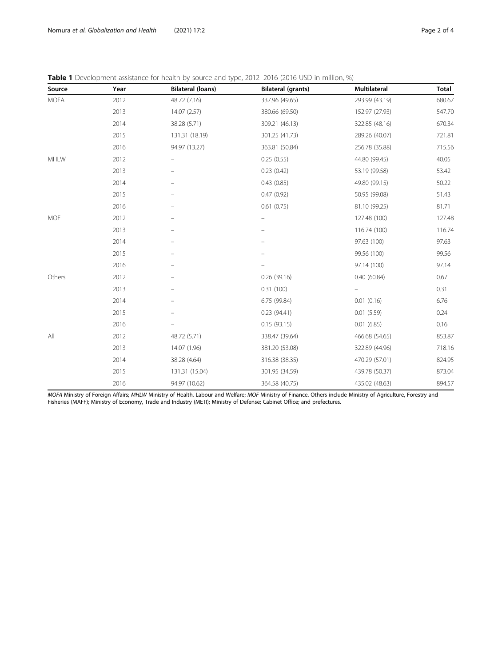<span id="page-1-0"></span>Nomura et al. Globalization and Health (2021) 17:2 **Page 2 of 4** Page 2 of 4

| Source      | Year | <b>Bilateral (loans)</b> | <b>Bilateral (grants)</b> | Multilateral   | <b>Total</b> |
|-------------|------|--------------------------|---------------------------|----------------|--------------|
| <b>MOFA</b> | 2012 | 48.72 (7.16)             | 337.96 (49.65)            | 293.99 (43.19) | 680.67       |
|             | 2013 | 14.07 (2.57)             | 380.66 (69.50)            | 152.97 (27.93) | 547.70       |
|             | 2014 | 38.28 (5.71)             | 309.21 (46.13)            | 322.85 (48.16) | 670.34       |
|             | 2015 | 131.31 (18.19)           | 301.25 (41.73)            | 289.26 (40.07) | 721.81       |
|             | 2016 | 94.97 (13.27)            | 363.81 (50.84)            | 256.78 (35.88) | 715.56       |
| MHLW        | 2012 |                          | 0.25(0.55)                | 44.80 (99.45)  | 40.05        |
|             | 2013 |                          | 0.23(0.42)                | 53.19 (99.58)  | 53.42        |
|             | 2014 | $\equiv$                 | 0.43(0.85)                | 49.80 (99.15)  | 50.22        |
|             | 2015 |                          | 0.47(0.92)                | 50.95 (99.08)  | 51.43        |
|             | 2016 | $\overline{\phantom{0}}$ | 0.61(0.75)                | 81.10 (99.25)  | 81.71        |
| <b>MOF</b>  | 2012 |                          |                           | 127.48 (100)   | 127.48       |
|             | 2013 |                          |                           | 116.74 (100)   | 116.74       |
|             | 2014 |                          |                           | 97.63 (100)    | 97.63        |
|             | 2015 |                          |                           | 99.56 (100)    | 99.56        |
|             | 2016 |                          |                           | 97.14 (100)    | 97.14        |
| Others      | 2012 |                          | 0.26(39.16)               | 0.40(60.84)    | 0.67         |
|             | 2013 |                          | 0.31(100)                 |                | 0.31         |
|             | 2014 |                          | 6.75 (99.84)              | 0.01(0.16)     | 6.76         |
|             | 2015 |                          | 0.23(94.41)               | 0.01(5.59)     | 0.24         |
|             | 2016 |                          | 0.15(93.15)               | 0.01(6.85)     | 0.16         |
| All         | 2012 | 48.72 (5.71)             | 338.47 (39.64)            | 466.68 (54.65) | 853.87       |
|             | 2013 | 14.07 (1.96)             | 381.20 (53.08)            | 322.89 (44.96) | 718.16       |
|             | 2014 | 38.28 (4.64)             | 316.38 (38.35)            | 470.29 (57.01) | 824.95       |
|             | 2015 | 131.31 (15.04)           | 301.95 (34.59)            | 439.78 (50.37) | 873.04       |
|             | 2016 | 94.97 (10.62)            | 364.58 (40.75)            | 435.02 (48.63) | 894.57       |

MOFA Ministry of Foreign Affairs; MHLW Ministry of Health, Labour and Welfare; MOF Ministry of Finance. Others include Ministry of Agriculture, Forestry and Fisheries (MAFF); Ministry of Economy, Trade and Industry (METI); Ministry of Defense; Cabinet Office; and prefectures.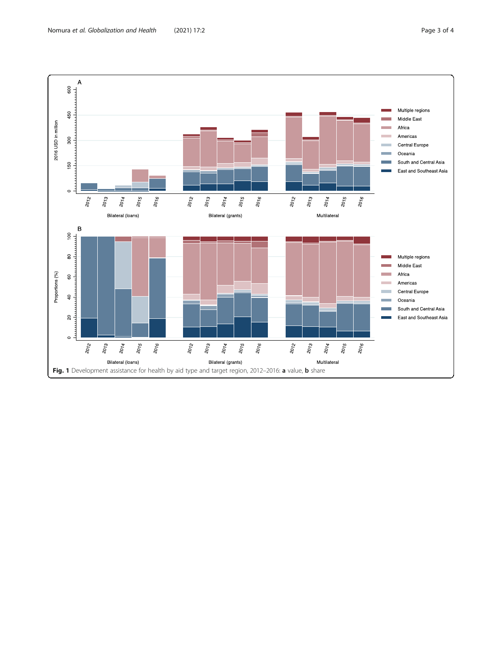<span id="page-2-0"></span>